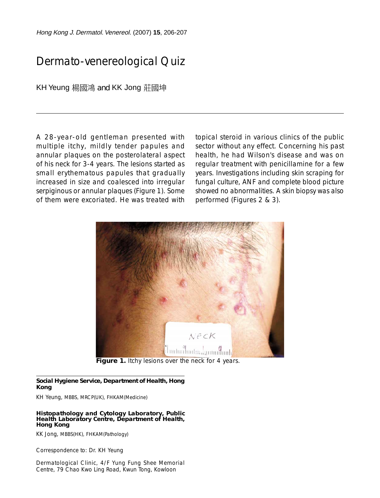Hong Kong J. Dermatol. Venereol. (2007) **15**, 206-207

# Dermato-venereological Quiz

KH Yeung 楊國鴻 and KK Jong 莊國坤

A 28-year-old gentleman presented with multiple itchy, mildly tender papules and annular plaques on the posterolateral aspect of his neck for 3-4 years. The lesions started as small erythematous papules that gradually increased in size and coalesced into irregular serpiginous or annular plaques (Figure 1). Some of them were excoriated. He was treated with

topical steroid in various clinics of the public sector without any effect. Concerning his past health, he had Wilson's disease and was on regular treatment with penicillamine for a few years. Investigations including skin scraping for fungal culture, ANF and complete blood picture showed no abnormalities. A skin biopsy was also performed (Figures 2 & 3).



Figure 1. Itchy lesions over the neck for 4 years.

### **Social Hygiene Service, Department of Health, Hong Kong**

KH Yeung, MBBS, MRCP(UK), FHKAM(Medicine)

#### **Histopathology and Cytology Laboratory, Public Health Laboratory Centre, Department of Health, Hong Kong**

KK Jong, MBBS(HK), FHKAM(Pathology)

Correspondence to: Dr. KH Yeung

Dermatological Clinic, 4/F Yung Fung Shee Memorial Centre, 79 Chao Kwo Ling Road, Kwun Tong, Kowloon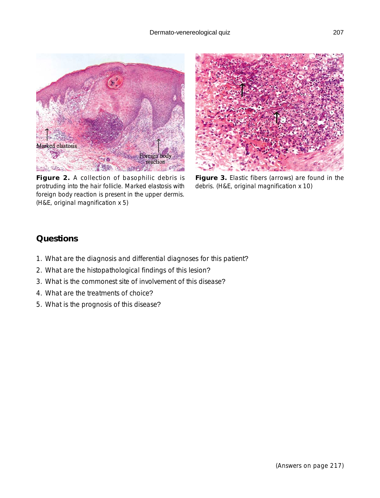

**Figure 2.** A collection of basophilic debris is protruding into the hair follicle. Marked elastosis with foreign body reaction is present in the upper dermis. (H&E, original magnification x 5)



**Figure 3.** Elastic fibers (arrows) are found in the debris. (H&E, original magnification x 10)

### **Questions**

- 1. What are the diagnosis and differential diagnoses for this patient?
- 2. What are the histopathological findings of this lesion?
- 3. What is the commonest site of involvement of this disease?
- 4. What are the treatments of choice?
- 5. What is the prognosis of this disease?